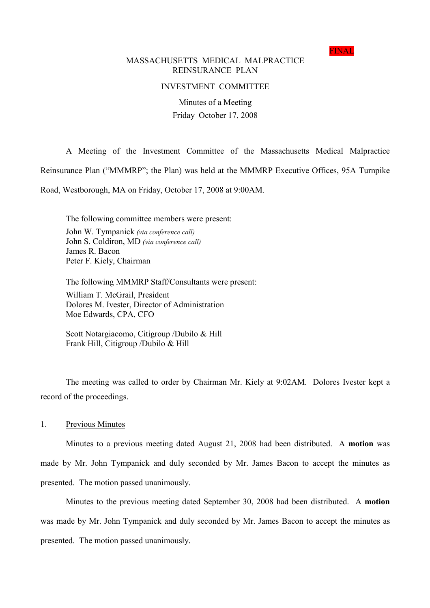FINAL

# MASSACHUSETTS MEDICAL MALPRACTICE REINSURANCE PLAN

# INVESTMENT COMMITTEE

Minutes of a Meeting Friday October 17, 2008

A Meeting of the Investment Committee of the Massachusetts Medical Malpractice

Reinsurance Plan ("MMMRP"; the Plan) was held at the MMMRP Executive Offices, 95A Turnpike

Road, Westborough, MA on Friday, October 17, 2008 at 9:00AM.

The following committee members were present: John W. Tympanick (via conference call) John S. Coldiron, MD (via conference call) James R. Bacon Peter F. Kiely, Chairman

The following MMMRP Staff/Consultants were present: William T. McGrail, President Dolores M. Ivester, Director of Administration Moe Edwards, CPA, CFO

Scott Notargiacomo, Citigroup /Dubilo & Hill Frank Hill, Citigroup /Dubilo & Hill

The meeting was called to order by Chairman Mr. Kiely at 9:02AM. Dolores Ivester kept a record of the proceedings.

1. Previous Minutes

Minutes to a previous meeting dated August 21, 2008 had been distributed. A **motion** was made by Mr. John Tympanick and duly seconded by Mr. James Bacon to accept the minutes as presented. The motion passed unanimously.

Minutes to the previous meeting dated September 30, 2008 had been distributed. A **motion** was made by Mr. John Tympanick and duly seconded by Mr. James Bacon to accept the minutes as presented. The motion passed unanimously.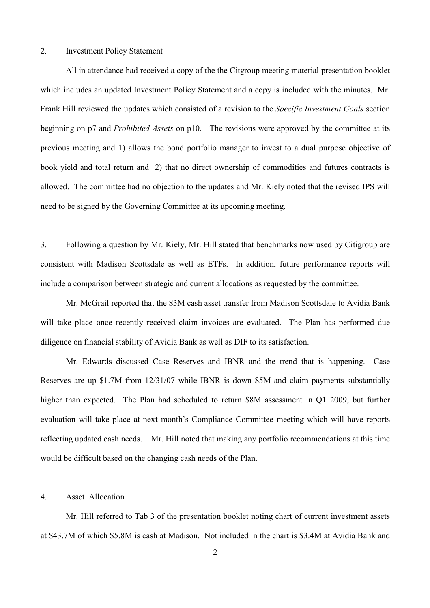### 2. Investment Policy Statement

All in attendance had received a copy of the the Citgroup meeting material presentation booklet which includes an updated Investment Policy Statement and a copy is included with the minutes. Mr. Frank Hill reviewed the updates which consisted of a revision to the Specific Investment Goals section beginning on p7 and *Prohibited Assets* on p10. The revisions were approved by the committee at its previous meeting and 1) allows the bond portfolio manager to invest to a dual purpose objective of book yield and total return and 2) that no direct ownership of commodities and futures contracts is allowed. The committee had no objection to the updates and Mr. Kiely noted that the revised IPS will need to be signed by the Governing Committee at its upcoming meeting.

3. Following a question by Mr. Kiely, Mr. Hill stated that benchmarks now used by Citigroup are consistent with Madison Scottsdale as well as ETFs. In addition, future performance reports will include a comparison between strategic and current allocations as requested by the committee.

Mr. McGrail reported that the \$3M cash asset transfer from Madison Scottsdale to Avidia Bank will take place once recently received claim invoices are evaluated. The Plan has performed due diligence on financial stability of Avidia Bank as well as DIF to its satisfaction.

Mr. Edwards discussed Case Reserves and IBNR and the trend that is happening. Case Reserves are up \$1.7M from 12/31/07 while IBNR is down \$5M and claim payments substantially higher than expected. The Plan had scheduled to return \$8M assessment in Q1 2009, but further evaluation will take place at next month's Compliance Committee meeting which will have reports reflecting updated cash needs. Mr. Hill noted that making any portfolio recommendations at this time would be difficult based on the changing cash needs of the Plan.

# 4. Asset Allocation

Mr. Hill referred to Tab 3 of the presentation booklet noting chart of current investment assets at \$43.7M of which \$5.8M is cash at Madison. Not included in the chart is \$3.4M at Avidia Bank and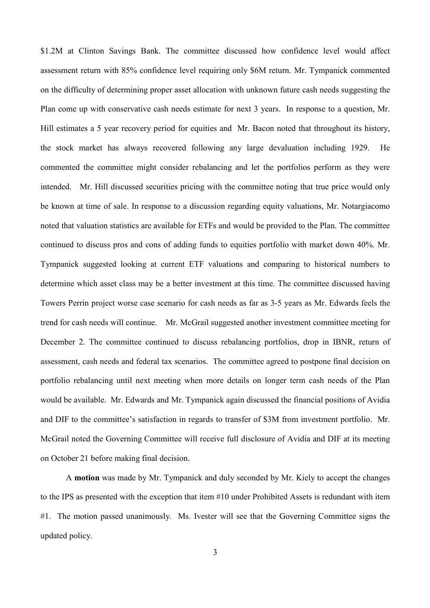\$1.2M at Clinton Savings Bank. The committee discussed how confidence level would affect assessment return with 85% confidence level requiring only \$6M return. Mr. Tympanick commented on the difficulty of determining proper asset allocation with unknown future cash needs suggesting the Plan come up with conservative cash needs estimate for next 3 years. In response to a question, Mr. Hill estimates a 5 year recovery period for equities and Mr. Bacon noted that throughout its history, the stock market has always recovered following any large devaluation including 1929. He commented the committee might consider rebalancing and let the portfolios perform as they were intended. Mr. Hill discussed securities pricing with the committee noting that true price would only be known at time of sale. In response to a discussion regarding equity valuations, Mr. Notargiacomo noted that valuation statistics are available for ETFs and would be provided to the Plan. The committee continued to discuss pros and cons of adding funds to equities portfolio with market down 40%. Mr. Tympanick suggested looking at current ETF valuations and comparing to historical numbers to determine which asset class may be a better investment at this time. The committee discussed having Towers Perrin project worse case scenario for cash needs as far as 3-5 years as Mr. Edwards feels the trend for cash needs will continue. Mr. McGrail suggested another investment committee meeting for December 2. The committee continued to discuss rebalancing portfolios, drop in IBNR, return of assessment, cash needs and federal tax scenarios. The committee agreed to postpone final decision on portfolio rebalancing until next meeting when more details on longer term cash needs of the Plan would be available. Mr. Edwards and Mr. Tympanick again discussed the financial positions of Avidia and DIF to the committee's satisfaction in regards to transfer of \$3M from investment portfolio. Mr. McGrail noted the Governing Committee will receive full disclosure of Avidia and DIF at its meeting on October 21 before making final decision.

A **motion** was made by Mr. Tympanick and duly seconded by Mr. Kiely to accept the changes to the IPS as presented with the exception that item #10 under Prohibited Assets is redundant with item #1. The motion passed unanimously. Ms. Ivester will see that the Governing Committee signs the updated policy.